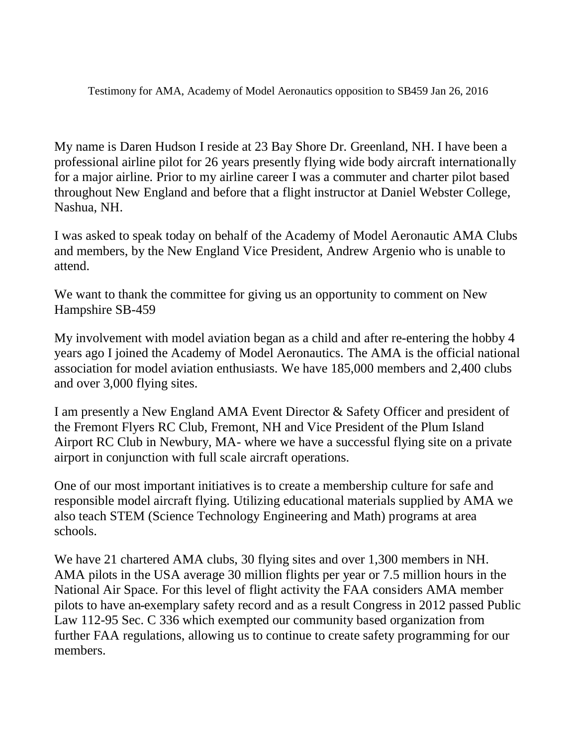Testimony for AMA, Academy of Model Aeronautics opposition to SB459 Jan 26, 2016

My name is Daren Hudson I reside at 23 Bay Shore Dr. Greenland, NH. I have been a professional airline pilot for 26 years presently flying wide body aircraft internationally for a major airline. Prior to my airline career I was a commuter and charter pilot based throughout New England and before that a flight instructor at Daniel Webster College, Nashua, NH.

I was asked to speak today on behalf of the Academy of Model Aeronautic AMA Clubs and members, by the New England Vice President, Andrew Argenio who is unable to attend.

We want to thank the committee for giving us an opportunity to comment on New Hampshire SB-459

My involvement with model aviation began as a child and after re-entering the hobby 4 years ago I joined the Academy of Model Aeronautics. The AMA is the official national association for model aviation enthusiasts. We have 185,000 members and 2,400 clubs and over 3,000 flying sites.

I am presently a New England AMA Event Director & Safety Officer and president of the Fremont Flyers RC Club, Fremont, NH and Vice President of the Plum Island Airport RC Club in Newbury, MA- where we have a successful flying site on a private airport in conjunction with full scale aircraft operations.

One of our most important initiatives is to create a membership culture for safe and responsible model aircraft flying. Utilizing educational materials supplied by AMA we also teach STEM (Science Technology Engineering and Math) programs at area schools.

We have 21 chartered AMA clubs, 30 flying sites and over 1,300 members in NH. AMA pilots in the USA average 30 million flights per year or 7.5 million hours in the National Air Space. For this level of flight activity the FAA considers AMA member pilots to have an exemplary safety record and as a result Congress in 2012 passed Public Law 112-95 Sec. C 336 which exempted our community based organization from further FAA regulations, allowing us to continue to create safety programming for our members.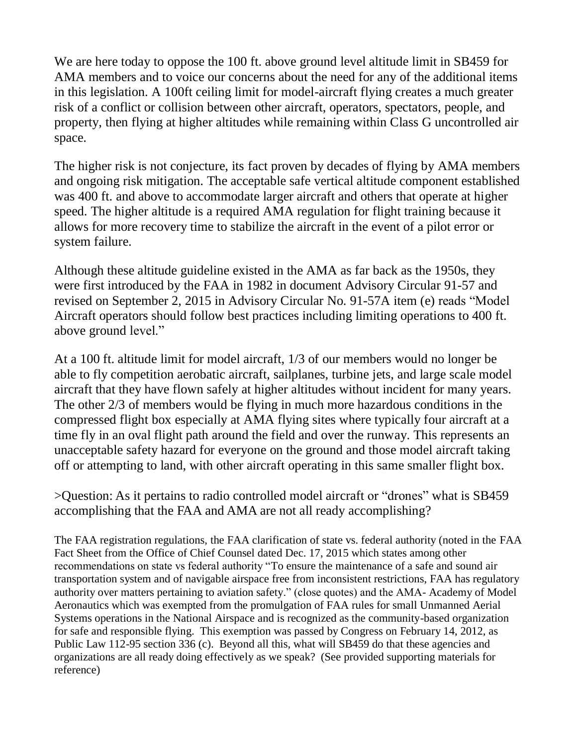We are here today to oppose the 100 ft. above ground level altitude limit in SB459 for AMA members and to voice our concerns about the need for any of the additional items in this legislation. A 100ft ceiling limit for model-aircraft flying creates a much greater risk of a conflict or collision between other aircraft, operators, spectators, people, and property, then flying at higher altitudes while remaining within Class G uncontrolled air space.

The higher risk is not conjecture, its fact proven by decades of flying by AMA members and ongoing risk mitigation. The acceptable safe vertical altitude component established was 400 ft. and above to accommodate larger aircraft and others that operate at higher speed. The higher altitude is a required AMA regulation for flight training because it allows for more recovery time to stabilize the aircraft in the event of a pilot error or system failure.

Although these altitude guideline existed in the AMA as far back as the 1950s, they were first introduced by the FAA in 1982 in document Advisory Circular 91-57 and revised on September 2, 2015 in Advisory Circular No. 91-57A item (e) reads "Model Aircraft operators should follow best practices including limiting operations to 400 ft. above ground level."

At a 100 ft. altitude limit for model aircraft, 1/3 of our members would no longer be able to fly competition aerobatic aircraft, sailplanes, turbine jets, and large scale model aircraft that they have flown safely at higher altitudes without incident for many years. The other 2/3 of members would be flying in much more hazardous conditions in the compressed flight box especially at AMA flying sites where typically four aircraft at a time fly in an oval flight path around the field and over the runway. This represents an unacceptable safety hazard for everyone on the ground and those model aircraft taking off or attempting to land, with other aircraft operating in this same smaller flight box.

>Question: As it pertains to radio controlled model aircraft or "drones" what is SB459 accomplishing that the FAA and AMA are not all ready accomplishing?

The FAA registration regulations, the FAA clarification of state vs. federal authority (noted in the FAA Fact Sheet from the Office of Chief Counsel dated Dec. 17, 2015 which states among other recommendations on state vs federal authority "To ensure the maintenance of a safe and sound air transportation system and of navigable airspace free from inconsistent restrictions, FAA has regulatory authority over matters pertaining to aviation safety." (close quotes) and the AMA- Academy of Model Aeronautics which was exempted from the promulgation of FAA rules for small Unmanned Aerial Systems operations in the National Airspace and is recognized as the community-based organization for safe and responsible flying. This exemption was passed by Congress on February 14, 2012, as Public Law 112-95 section 336 (c). Beyond all this, what will SB459 do that these agencies and organizations are all ready doing effectively as we speak? (See provided supporting materials for reference)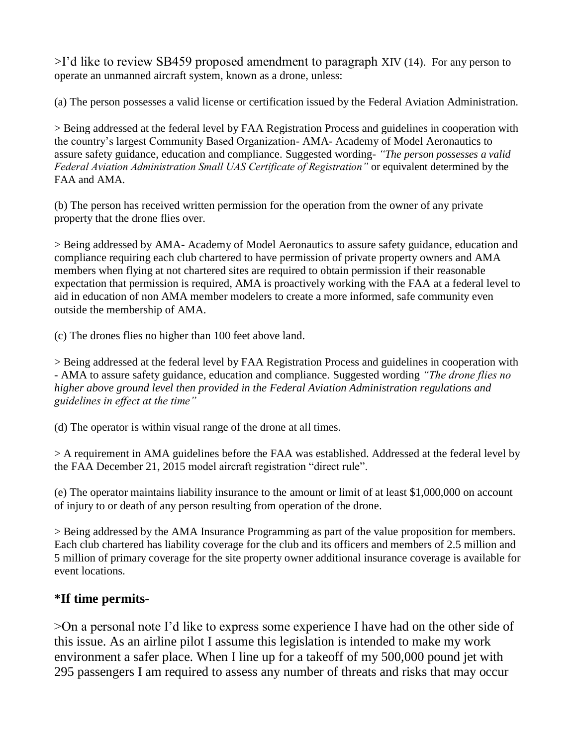>I'd like to review SB459 proposed amendment to paragraph XIV (14). For any person to operate an unmanned aircraft system, known as a drone, unless:

(a) The person possesses a valid license or certification issued by the Federal Aviation Administration.

> Being addressed at the federal level by FAA Registration Process and guidelines in cooperation with the country's largest Community Based Organization- AMA- Academy of Model Aeronautics to assure safety guidance, education and compliance. Suggested wording- *"The person possesses a valid Federal Aviation Administration Small UAS Certificate of Registration"* or equivalent determined by the FAA and AMA.

(b) The person has received written permission for the operation from the owner of any private property that the drone flies over.

> Being addressed by AMA- Academy of Model Aeronautics to assure safety guidance, education and compliance requiring each club chartered to have permission of private property owners and AMA members when flying at not chartered sites are required to obtain permission if their reasonable expectation that permission is required, AMA is proactively working with the FAA at a federal level to aid in education of non AMA member modelers to create a more informed, safe community even outside the membership of AMA.

(c) The drones flies no higher than 100 feet above land.

> Being addressed at the federal level by FAA Registration Process and guidelines in cooperation with - AMA to assure safety guidance, education and compliance. Suggested wording *"The drone flies no higher above ground level then provided in the Federal Aviation Administration regulations and guidelines in effect at the time"*

(d) The operator is within visual range of the drone at all times.

> A requirement in AMA guidelines before the FAA was established. Addressed at the federal level by the FAA December 21, 2015 model aircraft registration "direct rule".

(e) The operator maintains liability insurance to the amount or limit of at least \$1,000,000 on account of injury to or death of any person resulting from operation of the drone.

> Being addressed by the AMA Insurance Programming as part of the value proposition for members. Each club chartered has liability coverage for the club and its officers and members of 2.5 million and 5 million of primary coverage for the site property owner additional insurance coverage is available for event locations.

## **\*If time permits-**

>On a personal note I'd like to express some experience I have had on the other side of this issue. As an airline pilot I assume this legislation is intended to make my work environment a safer place. When I line up for a takeoff of my 500,000 pound jet with 295 passengers I am required to assess any number of threats and risks that may occur